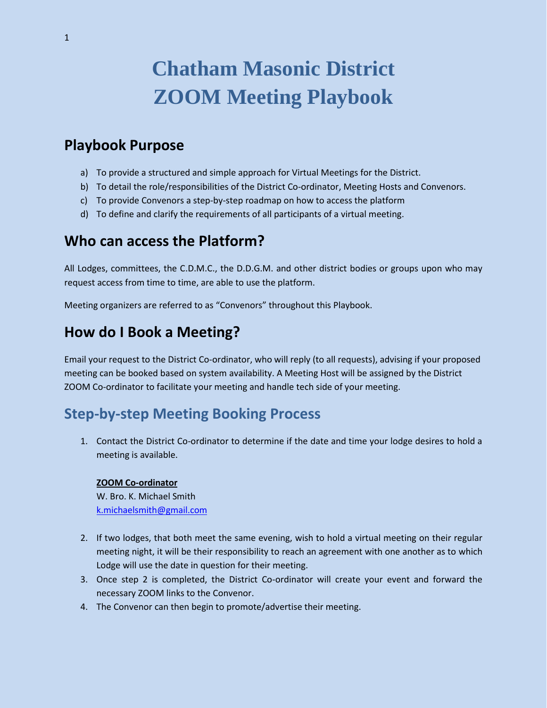# **Chatham Masonic District ZOOM Meeting Playbook**

# **Playbook Purpose**

- a) To provide a structured and simple approach for Virtual Meetings for the District.
- b) To detail the role/responsibilities of the District Co-ordinator, Meeting Hosts and Convenors.
- c) To provide Convenors a step-by-step roadmap on how to access the platform
- d) To define and clarify the requirements of all participants of a virtual meeting.

### **Who can access the Platform?**

All Lodges, committees, the C.D.M.C., the D.D.G.M. and other district bodies or groups upon who may request access from time to time, are able to use the platform.

Meeting organizers are referred to as "Convenors" throughout this Playbook.

# **How do I Book a Meeting?**

Email your request to the District Co-ordinator, who will reply (to all requests), advising if your proposed meeting can be booked based on system availability. A Meeting Host will be assigned by the District ZOOM Co-ordinator to facilitate your meeting and handle tech side of your meeting.

# **Step-by-step Meeting Booking Process**

1. Contact the District Co-ordinator to determine if the date and time your lodge desires to hold a meeting is available.

#### **ZOOM Co-ordinator**

W. Bro. K. Michael Smith [k.michaelsmith@gmail.com](mailto:k.michaelsmith@gmail.com)

- 2. If two lodges, that both meet the same evening, wish to hold a virtual meeting on their regular meeting night, it will be their responsibility to reach an agreement with one another as to which Lodge will use the date in question for their meeting.
- 3. Once step 2 is completed, the District Co-ordinator will create your event and forward the necessary ZOOM links to the Convenor.
- 4. The Convenor can then begin to promote/advertise their meeting.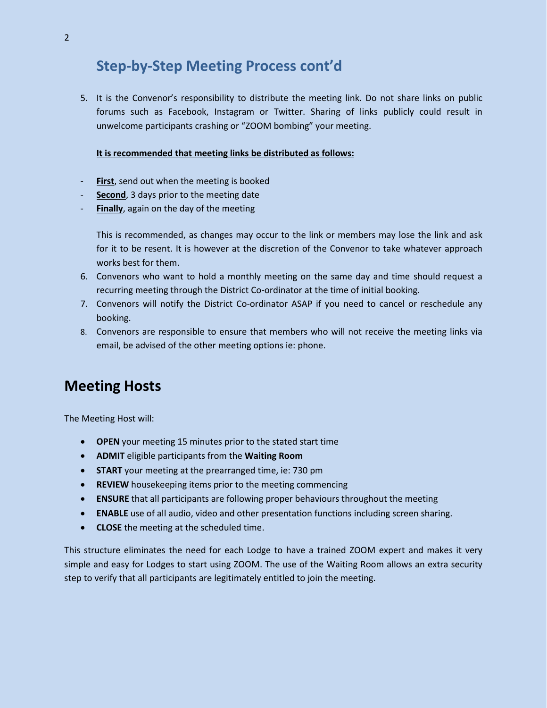# **Step-by-Step Meeting Process cont'd**

5. It is the Convenor's responsibility to distribute the meeting link. Do not share links on public forums such as Facebook, Instagram or Twitter. Sharing of links publicly could result in unwelcome participants crashing or "ZOOM bombing" your meeting.

#### **It is recommended that meeting links be distributed as follows:**

- **First**, send out when the meeting is booked
- **Second**, 3 days prior to the meeting date
- **Finally**, again on the day of the meeting

This is recommended, as changes may occur to the link or members may lose the link and ask for it to be resent. It is however at the discretion of the Convenor to take whatever approach works best for them.

- 6. Convenors who want to hold a monthly meeting on the same day and time should request a recurring meeting through the District Co-ordinator at the time of initial booking.
- 7. Convenors will notify the District Co-ordinator ASAP if you need to cancel or reschedule any booking.
- 8. Convenors are responsible to ensure that members who will not receive the meeting links via email, be advised of the other meeting options ie: phone.

# **Meeting Hosts**

The Meeting Host will:

- **OPEN** your meeting 15 minutes prior to the stated start time
- **ADMIT** eligible participants from the **Waiting Room**
- **START** your meeting at the prearranged time, ie: 730 pm
- **REVIEW** housekeeping items prior to the meeting commencing
- **ENSURE** that all participants are following proper behaviours throughout the meeting
- **ENABLE** use of all audio, video and other presentation functions including screen sharing.
- **CLOSE** the meeting at the scheduled time.

This structure eliminates the need for each Lodge to have a trained ZOOM expert and makes it very simple and easy for Lodges to start using ZOOM. The use of the Waiting Room allows an extra security step to verify that all participants are legitimately entitled to join the meeting.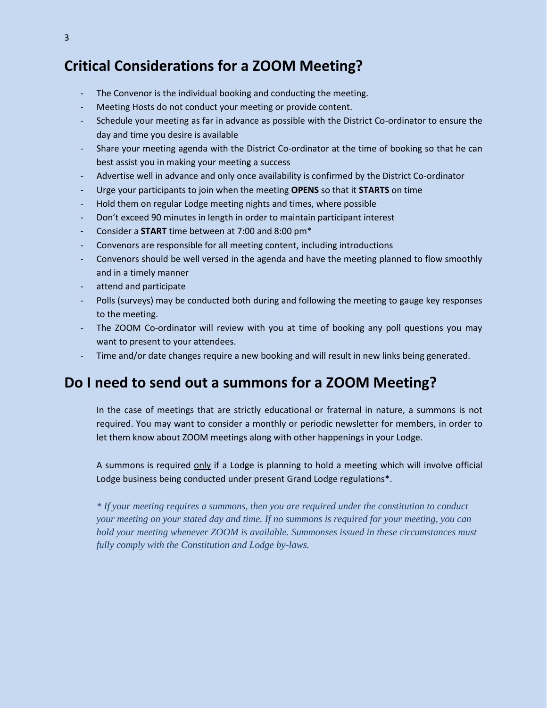# **Critical Considerations for a ZOOM Meeting?**

- The Convenor is the individual booking and conducting the meeting.
- Meeting Hosts do not conduct your meeting or provide content.
- Schedule your meeting as far in advance as possible with the District Co-ordinator to ensure the day and time you desire is available
- Share your meeting agenda with the District Co-ordinator at the time of booking so that he can best assist you in making your meeting a success
- Advertise well in advance and only once availability is confirmed by the District Co-ordinator
- Urge your participants to join when the meeting **OPENS** so that it **STARTS** on time
- Hold them on regular Lodge meeting nights and times, where possible
- Don't exceed 90 minutes in length in order to maintain participant interest
- Consider a **START** time between at 7:00 and 8:00 pm\*
- Convenors are responsible for all meeting content, including introductions
- Convenors should be well versed in the agenda and have the meeting planned to flow smoothly and in a timely manner
- attend and participate
- Polls (surveys) may be conducted both during and following the meeting to gauge key responses to the meeting.
- The ZOOM Co-ordinator will review with you at time of booking any poll questions you may want to present to your attendees.
- Time and/or date changes require a new booking and will result in new links being generated.

### **Do I need to send out a summons for a ZOOM Meeting?**

In the case of meetings that are strictly educational or fraternal in nature, a summons is not required. You may want to consider a monthly or periodic newsletter for members, in order to let them know about ZOOM meetings along with other happenings in your Lodge.

A summons is required only if a Lodge is planning to hold a meeting which will involve official Lodge business being conducted under present Grand Lodge regulations\*.

*\* If your meeting requires a summons, then you are required under the constitution to conduct your meeting on your stated day and time. If no summons is required for your meeting, you can hold your meeting whenever ZOOM is available. Summonses issued in these circumstances must fully comply with the Constitution and Lodge by-laws.*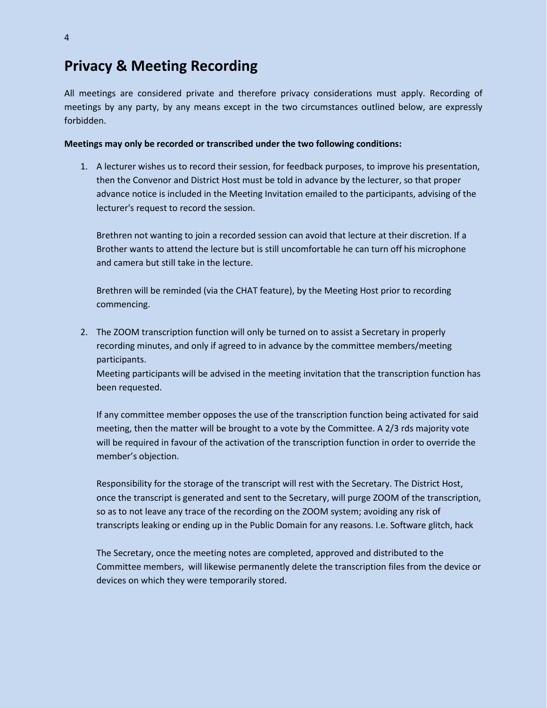### **Privacy & Meeting Recording**

All meetings are considered private and therefore privacy considerations must apply. Recording of meetings by any party, by any means except in the two circumstances outlined below, are expressly forbidden.

#### **Meetings may only be recorded or transcribed under the two following conditions:**

1. A lecturer wishes us to record their session, for feedback purposes, to improve his presentation, then the Convenor and District Host must be told in advance by the lecturer, so that proper advance notice is included in the Meeting Invitation emailed to the participants, advising of the lecturer's request to record the session.

Brethren not wanting to join a recorded session can avoid that lecture at their discretion. If a Brother wants to attend the lecture but is still uncomfortable he can turn off his microphone and camera but still take in the lecture.

Brethren will be reminded (via the CHAT feature), by the Meeting Host prior to recording commencing.

2. The ZOOM transcription function will only be turned on to assist a Secretary in properly recording minutes, and only if agreed to in advance by the committee members/meeting participants.

Meeting participants will be advised in the meeting invitation that the transcription function has been requested.

If any committee member opposes the use of the transcription function being activated for said meeting, then the matter will be brought to a vote by the Committee. A 2/3 rds majority vote will be required in favour of the activation of the transcription function in order to override the member's objection.

Responsibility for the storage of the transcript will rest with the Secretary. The District Host, once the transcript is generated and sent to the Secretary, will purge ZOOM of the transcription, so as to not leave any trace of the recording on the ZOOM system; avoiding any risk of transcripts leaking or ending up in the Public Domain for any reasons. I.e. Software glitch, hack

The Secretary, once the meeting notes are completed, approved and distributed to the Committee members, will likewise permanently delete the transcription files from the device or devices on which they were temporarily stored.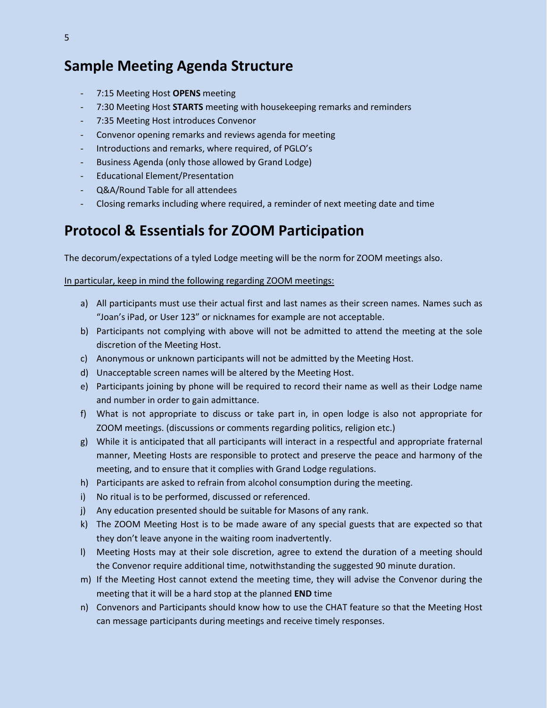# **Sample Meeting Agenda Structure**

- 7:15 Meeting Host **OPENS** meeting
- 7:30 Meeting Host **STARTS** meeting with housekeeping remarks and reminders
- 7:35 Meeting Host introduces Convenor
- Convenor opening remarks and reviews agenda for meeting
- Introductions and remarks, where required, of PGLO's
- Business Agenda (only those allowed by Grand Lodge)
- Educational Element/Presentation
- Q&A/Round Table for all attendees
- Closing remarks including where required, a reminder of next meeting date and time

### **Protocol & Essentials for ZOOM Participation**

The decorum/expectations of a tyled Lodge meeting will be the norm for ZOOM meetings also.

#### In particular, keep in mind the following regarding ZOOM meetings:

- a) All participants must use their actual first and last names as their screen names. Names such as "Joan's iPad, or User 123" or nicknames for example are not acceptable.
- b) Participants not complying with above will not be admitted to attend the meeting at the sole discretion of the Meeting Host.
- c) Anonymous or unknown participants will not be admitted by the Meeting Host.
- d) Unacceptable screen names will be altered by the Meeting Host.
- e) Participants joining by phone will be required to record their name as well as their Lodge name and number in order to gain admittance.
- f) What is not appropriate to discuss or take part in, in open lodge is also not appropriate for ZOOM meetings. (discussions or comments regarding politics, religion etc.)
- g) While it is anticipated that all participants will interact in a respectful and appropriate fraternal manner, Meeting Hosts are responsible to protect and preserve the peace and harmony of the meeting, and to ensure that it complies with Grand Lodge regulations.
- h) Participants are asked to refrain from alcohol consumption during the meeting.
- i) No ritual is to be performed, discussed or referenced.
- j) Any education presented should be suitable for Masons of any rank.
- k) The ZOOM Meeting Host is to be made aware of any special guests that are expected so that they don't leave anyone in the waiting room inadvertently.
- l) Meeting Hosts may at their sole discretion, agree to extend the duration of a meeting should the Convenor require additional time, notwithstanding the suggested 90 minute duration.
- m) If the Meeting Host cannot extend the meeting time, they will advise the Convenor during the meeting that it will be a hard stop at the planned **END** time
- n) Convenors and Participants should know how to use the CHAT feature so that the Meeting Host can message participants during meetings and receive timely responses.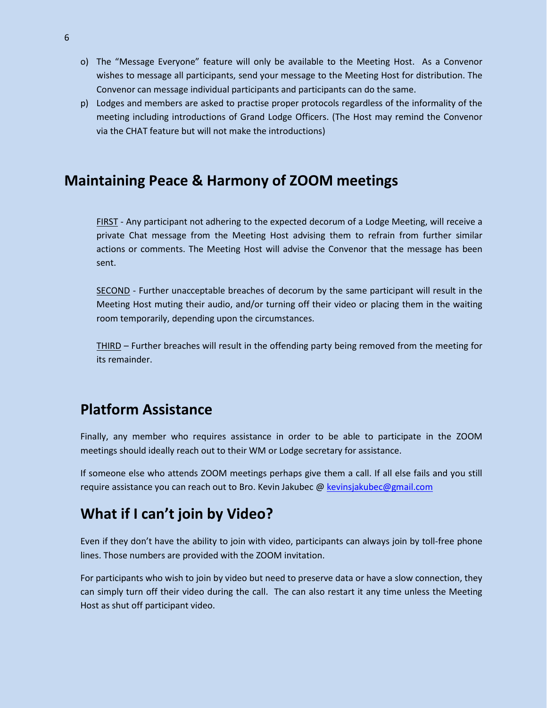- o) The "Message Everyone" feature will only be available to the Meeting Host. As a Convenor wishes to message all participants, send your message to the Meeting Host for distribution. The Convenor can message individual participants and participants can do the same.
- p) Lodges and members are asked to practise proper protocols regardless of the informality of the meeting including introductions of Grand Lodge Officers. (The Host may remind the Convenor via the CHAT feature but will not make the introductions)

### **Maintaining Peace & Harmony of ZOOM meetings**

FIRST - Any participant not adhering to the expected decorum of a Lodge Meeting, will receive a private Chat message from the Meeting Host advising them to refrain from further similar actions or comments. The Meeting Host will advise the Convenor that the message has been sent.

SECOND - Further unacceptable breaches of decorum by the same participant will result in the Meeting Host muting their audio, and/or turning off their video or placing them in the waiting room temporarily, depending upon the circumstances.

THIRD – Further breaches will result in the offending party being removed from the meeting for its remainder.

# **Platform Assistance**

Finally, any member who requires assistance in order to be able to participate in the ZOOM meetings should ideally reach out to their WM or Lodge secretary for assistance.

If someone else who attends ZOOM meetings perhaps give them a call. If all else fails and you still require assistance you can reach out to Bro. Kevin Jakubec @ [kevinsjakubec@gmail.com](mailto:kevinsjakubec@gmail.com)

# **What if I can't join by Video?**

Even if they don't have the ability to join with video, participants can always join by toll-free phone lines. Those numbers are provided with the ZOOM invitation.

For participants who wish to join by video but need to preserve data or have a slow connection, they can simply turn off their video during the call. The can also restart it any time unless the Meeting Host as shut off participant video.